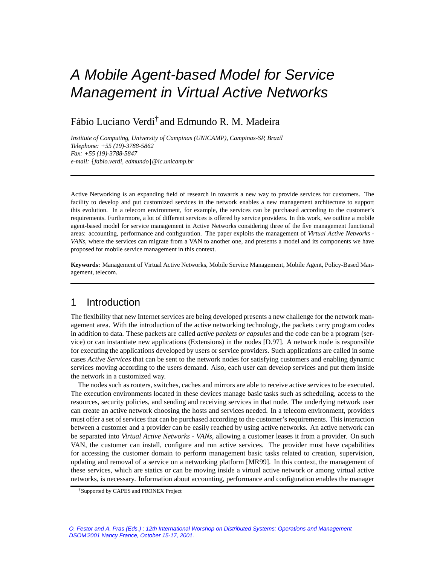# A Mobile Agent-based Model for Service Management in Virtual Active Networks

## Fábio Luciano Verdi† and Edmundo R. M. Madeira

*Institute of Computing, University of Campinas (UNICAMP), Campinas-SP, Brazil Telephone: +55 (19)-3788-5862 Fax: +55 (19)-3788-5847 e-mail: fabio.verdi, edmundo @ic.unicamp.br*

Active Networking is an expanding field of research in towards a new way to provide services for customers. The facility to develop and put customized services in the network enables a new management architecture to support this evolution. In a telecom environment, for example, the services can be purchased according to the customer's requirements. Furthermore, a lot of different services is offered by service providers. In this work, we outline a mobile agent-based model for service management in Active Networks considering three of the five management functional areas: accounting, performance and configuration. The paper exploits the management of *Virtual Active Networks - VANs*, where the services can migrate from a VAN to another one, and presents a model and its components we have proposed for mobile service management in this context.

**Keywords:** Management of Virtual Active Networks, Mobile Service Management, Mobile Agent, Policy-Based Management, telecom.

## 1 Introduction

The flexibility that new Internet services are being developed presents a new challenge for the network management area. With the introduction of the active networking technology, the packets carry program codes in addition to data. These packets are called *active packets or capsules* and the code can be a program (service) or can instantiate new applications (Extensions) in the nodes [D.97]. A network node is responsible for executing the applications developed by users or service providers. Such applications are called in some cases *Active Services* that can be sent to the network nodes for satisfying customers and enabling dynamic services moving according to the users demand. Also, each user can develop services and put them inside the network in a customized way.

The nodes such as routers, switches, caches and mirrors are able to receive active services to be executed. The execution environments located in these devices manage basic tasks such as scheduling, access to the resources, security policies, and sending and receiving services in that node. The underlying network user can create an active network choosing the hosts and services needed. In a telecom environment, providers must offer a set of services that can be purchased according to the customer's requirements. This interaction between a customer and a provider can be easily reached by using active networks. An active network can be separated into *Virtual Active Networks - VANs*, allowing a customer leases it from a provider. On such VAN, the customer can install, configure and run active services. The provider must have capabilities for accessing the customer domain to perform management basic tasks related to creation, supervision, updating and removal of a service on a networking platform [MR99]. In this context, the management of these services, which are statics or can be moving inside a virtual active network or among virtual active networks, is necessary. Information about accounting, performance and configuration enables the manager

<sup>†</sup>Supported by CAPES and PRONEX Project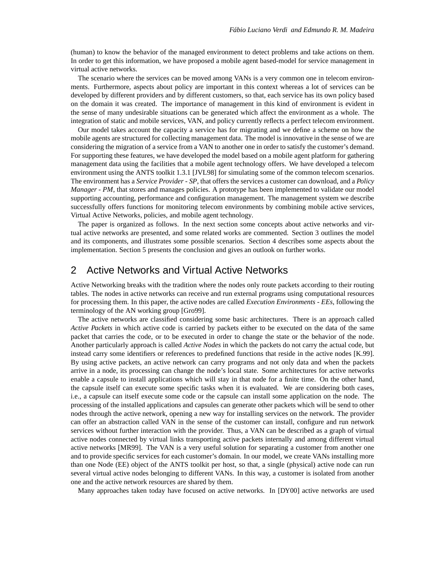(human) to know the behavior of the managed environment to detect problems and take actions on them. In order to get this information, we have proposed a mobile agent based-model for service management in virtual active networks.

The scenario where the services can be moved among VANs is a very common one in telecom environments. Furthermore, aspects about policy are important in this context whereas a lot of services can be developed by different providers and by different customers, so that, each service has its own policy based on the domain it was created. The importance of management in this kind of environment is evident in the sense of many undesirable situations can be generated which affect the environment as a whole. The integration of static and mobile services, VAN, and policy currently reflects a perfect telecom environment.

Our model takes account the capacity a service has for migrating and we define a scheme on how the mobile agents are structured for collecting management data. The model is innovative in the sense of we are considering the migration of a service from a VAN to another one in order to satisfy the customer's demand. For supporting these features, we have developed the model based on a mobile agent platform for gathering management data using the facilities that a mobile agent technology offers. We have developed a telecom environment using the ANTS toolkit 1.3.1 [JVL98] for simulating some of the common telecom scenarios. The environment has a *Service Provider - SP*, that offers the services a customer can download, and a *Policy Manager - PM*, that stores and manages policies. A prototype has been implemented to validate our model supporting accounting, performance and configuration management. The management system we describe successfully offers functions for monitoring telecom environments by combining mobile active services, Virtual Active Networks, policies, and mobile agent technology.

The paper is organized as follows. In the next section some concepts about active networks and virtual active networks are presented, and some related works are commented. Section 3 outlines the model and its components, and illustrates some possible scenarios. Section 4 describes some aspects about the implementation. Section 5 presents the conclusion and gives an outlook on further works.

## 2 Active Networks and Virtual Active Networks

Active Networking breaks with the tradition where the nodes only route packets according to their routing tables. The nodes in active networks can receive and run external programs using computational resources for processing them. In this paper, the active nodes are called *Execution Environments - EEs*, following the terminology of the AN working group [Gro99].

The active networks are classified considering some basic architectures. There is an approach called *Active Packets* in which active code is carried by packets either to be executed on the data of the same packet that carries the code, or to be executed in order to change the state or the behavior of the node. Another particularly approach is called *Active Nodes* in which the packets do not carry the actual code, but instead carry some identifiers or references to predefined functions that reside in the active nodes [K.99]. By using active packets, an active network can carry programs and not only data and when the packets arrive in a node, its processing can change the node's local state. Some architectures for active networks enable a capsule to install applications which will stay in that node for a finite time. On the other hand, the capsule itself can execute some specific tasks when it is evaluated. We are considering both cases, i.e., a capsule can itself execute some code or the capsule can install some application on the node. The processing of the installed applications and capsules can generate other packets which will be send to other nodes through the active network, opening a new way for installing services on the network. The provider can offer an abstraction called VAN in the sense of the customer can install, configure and run network services without further interaction with the provider. Thus, a VAN can be described as a graph of virtual active nodes connected by virtual links transporting active packets internally and among different virtual active networks [MR99]. The VAN is a very useful solution for separating a customer from another one and to provide specific services for each customer's domain. In our model, we create VANs installing more than one Node (EE) object of the ANTS toolkit per host, so that, a single (physical) active node can run several virtual active nodes belonging to different VANs. In this way, a customer is isolated from another one and the active network resources are shared by them.

Many approaches taken today have focused on active networks. In [DY00] active networks are used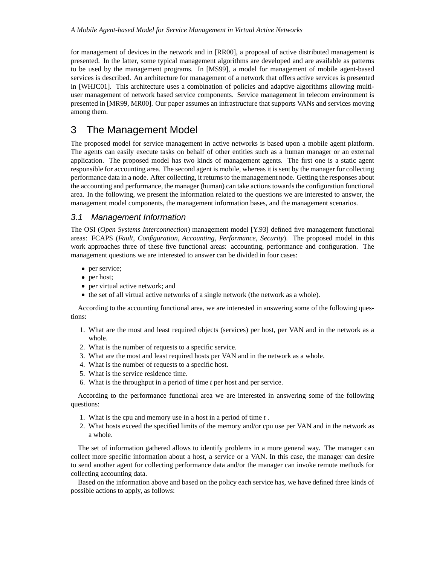for management of devices in the network and in [RR00], a proposal of active distributed management is presented. In the latter, some typical management algorithms are developed and are available as patterns to be used by the management programs. In [MS99], a model for management of mobile agent-based services is described. An architecture for management of a network that offers active services is presented in [WHJC01]. This architecture uses a combination of policies and adaptive algorithms allowing multiuser management of network based service components. Service management in telecom environment is presented in [MR99, MR00]. Our paper assumes an infrastructure that supports VANs and services moving among them.

## 3 The Management Model

The proposed model for service management in active networks is based upon a mobile agent platform. The agents can easily execute tasks on behalf of other entities such as a human manager or an external application. The proposed model has two kinds of management agents. The first one is a static agent responsible for accounting area. The second agent is mobile, whereas it is sent by the manager for collecting performance data in a node. After collecting, it returnsto the management node. Getting the responses about the accounting and performance, the manager (human) can take actions towards the configuration functional area. In the following, we present the information related to the questions we are interested to answer, the management model components, the management information bases, and the management scenarios.

### 3.1 Management Information

The OSI (*Open Systems Interconnection*) management model [Y.93] defined five management functional areas: FCAPS (*Fault, Configuration, Accounting, Performance, Security*). The proposed model in this work approaches three of these five functional areas: accounting, performance and configuration. The management questions we are interested to answer can be divided in four cases:

- per service;
- per host;
- per virtual active network; and
- the set of all virtual active networks of a single network (the network as a whole).

According to the accounting functional area, we are interested in answering some of the following questions:

- 1. What are the most and least required objects (services) per host, per VAN and in the network as a whole.
- 2. What is the number of requests to a specific service.
- 3. What are the most and least required hosts per VAN and in the network as a whole.
- 4. What is the number of requests to a specific host.
- 5. What is the service residence time.
- 6. What is the throughput in a period of time *t* per host and per service.

According to the performance functional area we are interested in answering some of the following questions:

- 1. What is the cpu and memory use in a host in a period of time *t* .
- 2. What hosts exceed the specified limits of the memory and/or cpu use per VAN and in the network as a whole.

The set of information gathered allows to identify problems in a more general way. The manager can collect more specific information about a host, a service or a VAN. In this case, the manager can desire to send another agent for collecting performance data and/or the manager can invoke remote methods for collecting accounting data.

Based on the information above and based on the policy each service has, we have defined three kinds of possible actions to apply, as follows: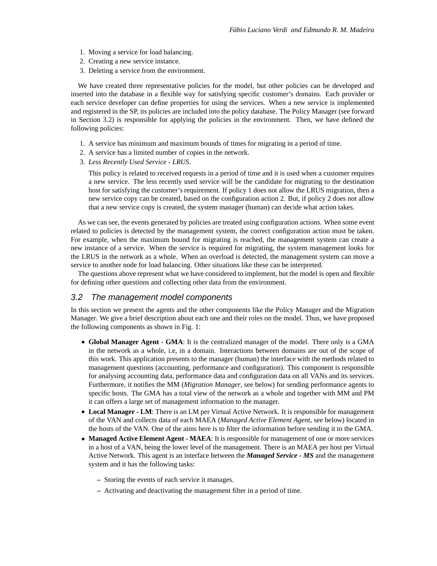- 1. Moving a service for load balancing.
- 2. Creating a new service instance.
- 3. Deleting a service from the environment.

We have created three representative policies for the model, but other policies can be developed and inserted into the database in a flexible way for satisfying specific customer's domains. Each provider or each service developer can define properties for using the services. When a new service is implemented and registered in the SP, its policies are included into the policy database. The Policy Manager (see forward in Section 3.2) is responsible for applying the policies in the environment. Then, we have defined the following policies:

- 1. A service has minimum and maximum bounds of times for migrating in a period of time.
- 2. A service has a limited number of copies in the network.
- 3. *Less Recently Used Service - LRUS*.

This policy is related to received requests in a period of time and it is used when a customer requires a new service. The less recently used service will be the candidate for migrating to the destination host for satisfying the customer's requirement. If policy 1 does not allow the LRUS migration, then a new service copy can be created, based on the configuration action 2. But, if policy 2 does not allow that a new service copy is created, the system manager (human) can decide what action takes.

As we can see, the events generated by policies are treated using configuration actions. When some event related to policies is detected by the management system, the correct configuration action must be taken. For example, when the maximum bound for migrating is reached, the management system can create a new instance of a service. When the service is required for migrating, the system management looks for the LRUS in the network as a whole. When an overload is detected, the management system can move a service to another node for load balancing. Other situations like these can be interpreted.

The questions above represent what we have considered to implement, but the model is open and flexible for defining other questions and collecting other data from the environment.

#### 3.2 The management model components

In this section we present the agents and the other components like the Policy Manager and the Migration Manager. We give a brief description about each one and their roles on the model. Thus, we have proposed the following components as shown in Fig. 1:

- **Global Manager Agent - GMA**: It is the centralized manager of the model. There only is a GMA in the network as a whole, i.e, in a domain. Interactions between domains are out of the scope of this work. This application presents to the manager (human) the interface with the methods related to management questions (accounting, performance and configuration). This component is responsible for analysing accounting data, performance data and configuration data on all VANs and its services. Furthermore, it notifies the MM (*Migration Manager*, see below) for sending performance agents to specific hosts. The GMA has a total view of the network as a whole and together with MM and PM it can offers a large set of management information to the manager.
- **Local Manager - LM**: There is an LM per Virtual Active Network. It is responsible for management of the VAN and collects data of each MAEA (*Managed Active Element Agent*, see below) located in the hosts of the VAN. One of the aims here is to filter the information before sending it to the GMA.
- **Managed Active Element Agent - MAEA**: It is responsible for management of one or more services in a host of a VAN, being the lower level of the management. There is an MAEA per host per Virtual Active Network. This agent is an interface between the *Managed Service - MS* and the management system and it has the following tasks:
	- **–** Storing the events of each service it manages.
	- **–** Activating and deactivating the management filter in a period of time.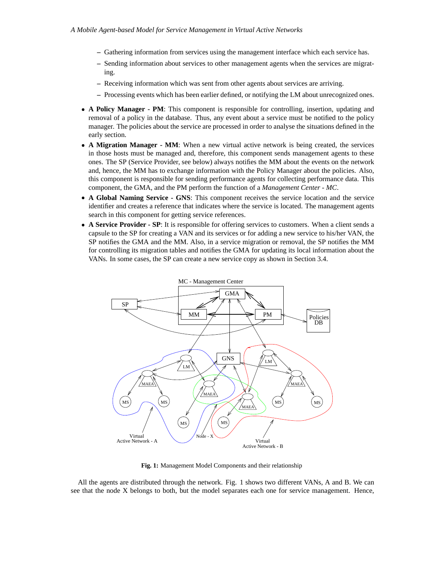- **–** Gathering information from services using the management interface which each service has.
- **–** Sending information about services to other management agents when the services are migrating.
- **–** Receiving information which was sent from other agents about services are arriving.
- **–** Processing events which has been earlier defined, or notifying the LM about unrecognized ones.
- **A Policy Manager - PM**: This component is responsible for controlling, insertion, updating and removal of a policy in the database. Thus, any event about a service must be notified to the policy manager. The policies about the service are processed in order to analyse the situations defined in the early section.
- **A Migration Manager - MM**: When a new virtual active network is being created, the services in those hosts must be managed and, therefore, this component sends management agents to these ones. The SP (Service Provider, see below) always notifies the MM about the events on the network and, hence, the MM has to exchange information with the Policy Manager about the policies. Also, this component is responsible for sending performance agents for collecting performance data. This component, the GMA, and the PM perform the function of a *Management Center - MC*.
- **A Global Naming Service - GNS**: This component receives the service location and the service identifier and creates a reference that indicates where the service is located. The management agents search in this component for getting service references.
- **A Service Provider - SP**: It is responsible for offering services to customers. When a client sends a capsule to the SP for creating a VAN and its services or for adding a new service to his/her VAN, the SP notifies the GMA and the MM. Also, in a service migration or removal, the SP notifies the MM for controlling its migration tables and notifies the GMA for updating its local information about the VANs. In some cases, the SP can create a new service copy as shown in Section 3.4.



**Fig. 1:** Management Model Components and their relationship

All the agents are distributed through the network. Fig. 1 shows two different VANs, A and B. We can see that the node X belongs to both, but the model separates each one for service management. Hence,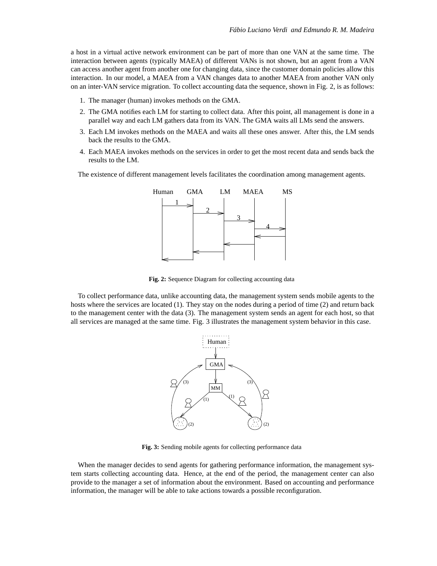a host in a virtual active network environment can be part of more than one VAN at the same time. The interaction between agents (typically MAEA) of different VANs is not shown, but an agent from a VAN can access another agent from another one for changing data, since the customer domain policies allow this interaction. In our model, a MAEA from a VAN changes data to another MAEA from another VAN only on an inter-VAN service migration. To collect accounting data the sequence, shown in Fig. 2, is as follows:

- 1. The manager (human) invokes methods on the GMA.
- 2. The GMA notifies each LM for starting to collect data. After this point, all management is done in a parallel way and each LM gathers data from its VAN. The GMA waits all LMs send the answers.
- 3. Each LM invokes methods on the MAEA and waits all these ones answer. After this, the LM sends back the results to the GMA.
- 4. Each MAEA invokes methods on the services in order to get the most recent data and sends back the results to the LM.

The existence of different management levels facilitates the coordination among management agents.



**Fig. 2:** Sequence Diagram for collecting accounting data

To collect performance data, unlike accounting data, the management system sends mobile agents to the hosts where the services are located (1). They stay on the nodes during a period of time (2) and return back to the management center with the data (3). The management system sends an agent for each host, so that all services are managed at the same time. Fig. 3 illustrates the management system behavior in this case.



**Fig. 3:** Sending mobile agents for collecting performance data

When the manager decides to send agents for gathering performance information, the management system starts collecting accounting data. Hence, at the end of the period, the management center can also provide to the manager a set of information about the environment. Based on accounting and performance information, the manager will be able to take actions towards a possible reconfiguration.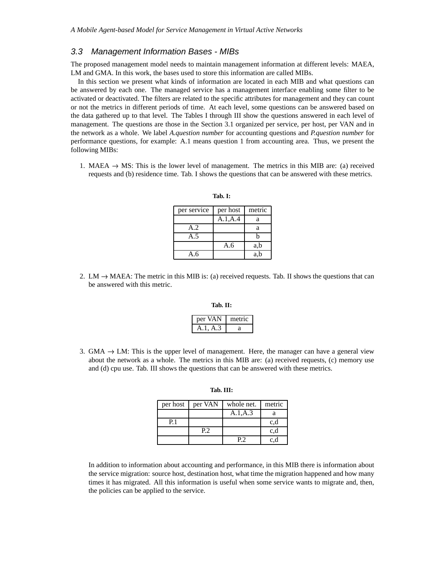#### 3.3 Management Information Bases - MIBs

The proposed management model needs to maintain management information at different levels: MAEA, LM and GMA. In this work, the bases used to store this information are called MIBs.

In this section we present what kinds of information are located in each MIB and what questions can be answered by each one. The managed service has a management interface enabling some filter to be activated or deactivated. The filters are related to the specific attributes for management and they can count or not the metrics in different periods of time. At each level, some questions can be answered based on the data gathered up to that level. The Tables I through III show the questions answered in each level of management. The questions are those in the Section 3.1 organized per service, per host, per VAN and in the network as a whole. We label *A.question number* for accounting questions and *P.question number* for performance questions, for example: A.1 means question 1 from accounting area. Thus, we present the following MIBs:

1. MAEA  $\rightarrow$  MS: This is the lower level of management. The metrics in this MIB are: (a) received requests and (b) residence time. Tab. I shows the questions that can be answered with these metrics.

| per service | per host | metric |
|-------------|----------|--------|
|             | A.1,A.4  | a      |
| A.2         |          | a      |
| A.5         |          |        |
|             | A.6      | a,b    |
| A.6         |          | a.b    |

2. LM  $\rightarrow$  MAEA: The metric in this MIB is: (a) received requests. Tab. II shows the questions that can be answered with this metric.

| .,<br>۰, |  |
|----------|--|
|          |  |

| <b>net</b><br>∸ | metric |
|-----------------|--------|
|                 |        |

3. GMA  $\rightarrow$  LM: This is the upper level of management. Here, the manager can have a general view about the network as a whole. The metrics in this MIB are: (a) received requests, (c) memory use and (d) cpu use. Tab. III shows the questions that can be answered with these metrics.

**Tab. III:**

| per host | per VAN | whole net. | metric |
|----------|---------|------------|--------|
|          |         | A.1, A.3   |        |
| P 1      |         |            | c,d    |
|          | P2      |            | c,d    |
|          |         |            | c.d    |

In addition to information about accounting and performance, in this MIB there is information about the service migration: source host, destination host, what time the migration happened and how many times it has migrated. All this information is useful when some service wants to migrate and, then, the policies can be applied to the service.

**Tab. I:**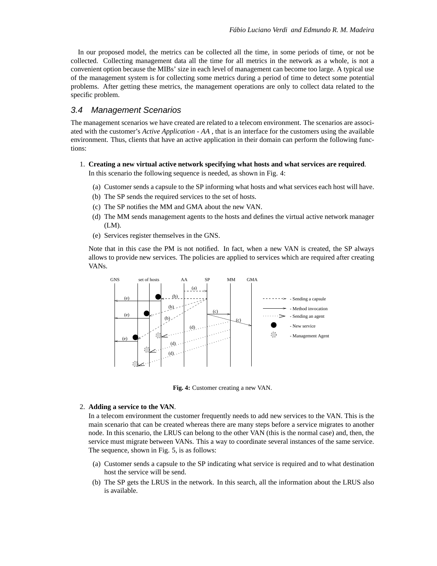In our proposed model, the metrics can be collected all the time, in some periods of time, or not be collected. Collecting management data all the time for all metrics in the network as a whole, is not a convenient option because the MIBs' size in each level of management can become too large. A typical use of the management system is for collecting some metrics during a period of time to detect some potential problems. After getting these metrics, the management operations are only to collect data related to the specific problem.

#### 3.4 Management Scenarios

The management scenarios we have created are related to a telecom environment. The scenarios are associated with the customer's *Active Application - AA* , that is an interface for the customers using the available environment. Thus, clients that have an active application in their domain can perform the following functions:

- 1. **Creating a new virtual active network specifying what hosts and what services are required**. In this scenario the following sequence is needed, as shown in Fig. 4:
	- (a) Customer sends a capsule to the SP informing what hosts and what services each host will have.
	- (b) The SP sends the required services to the set of hosts.
	- (c) The SP notifies the MM and GMA about the new VAN.
	- (d) The MM sends management agents to the hosts and defines the virtual active network manager (LM).
	- (e) Services register themselves in the GNS.

Note that in this case the PM is not notified. In fact, when a new VAN is created, the SP always allows to provide new services. The policies are applied to services which are required after creating VANs.



**Fig. 4:** Customer creating a new VAN.

#### 2. **Adding a service to the VAN**.

In a telecom environment the customer frequently needs to add new services to the VAN. This is the main scenario that can be created whereas there are many steps before a service migrates to another node. In this scenario, the LRUS can belong to the other VAN (this is the normal case) and, then, the service must migrate between VANs. This a way to coordinate several instances of the same service. The sequence, shown in Fig. 5, is as follows:

- (a) Customer sends a capsule to the SP indicating what service is required and to what destination host the service will be send.
- (b) The SP gets the LRUS in the network. In this search, all the information about the LRUS also is available.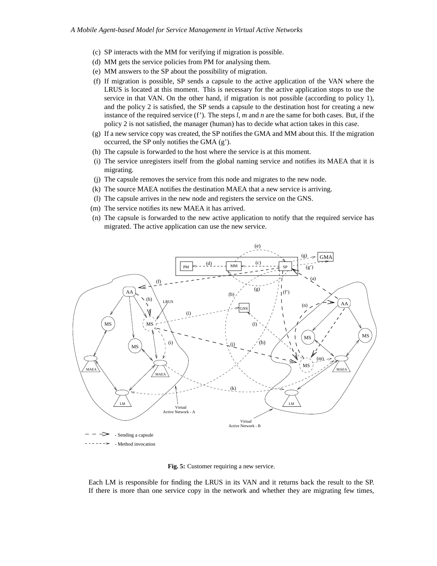- (c) SP interacts with the MM for verifying if migration is possible.
- (d) MM gets the service policies from PM for analysing them.
- (e) MM answers to the SP about the possibility of migration.
- (f) If migration is possible, SP sends a capsule to the active application of the VAN where the LRUS is located at this moment. This is necessary for the active application stops to use the service in that VAN. On the other hand, if migration is not possible (according to policy 1), and the policy 2 is satisfied, the SP sends a capsule to the destination host for creating a new instance of the required service (f'). The steps *l, m* and *n* are the same for both cases. But, if the policy 2 is not satisfied, the manager (human) has to decide what action takes in this case.
- (g) If a new service copy was created, the SP notifies the GMA and MM about this. If the migration occurred, the SP only notifies the GMA (g').
- (h) The capsule is forwarded to the host where the service is at this moment.
- (i) The service unregisters itself from the global naming service and notifies its MAEA that it is migrating.
- (j) The capsule removes the service from this node and migrates to the new node.
- (k) The source MAEA notifies the destination MAEA that a new service is arriving.
- (l) The capsule arrives in the new node and registers the service on the GNS.
- (m) The service notifies its new MAEA it has arrived.
- (n) The capsule is forwarded to the new active application to notify that the required service has migrated. The active application can use the new service.



**Fig. 5:** Customer requiring a new service.

Each LM is responsible for finding the LRUS in its VAN and it returns back the result to the SP. If there is more than one service copy in the network and whether they are migrating few times,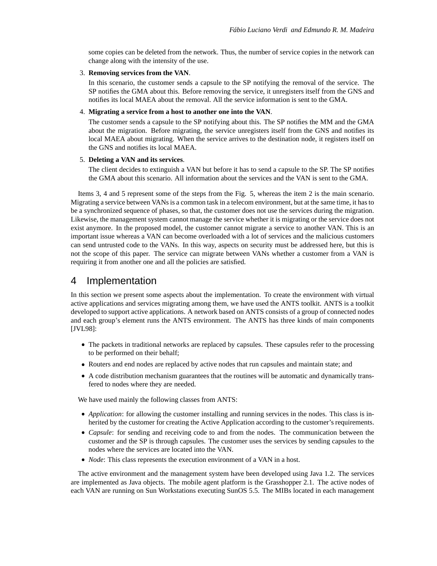some copies can be deleted from the network. Thus, the number of service copies in the network can change along with the intensity of the use.

#### 3. **Removing services from the VAN**.

In this scenario, the customer sends a capsule to the SP notifying the removal of the service. The SP notifies the GMA about this. Before removing the service, it unregisters itself from the GNS and notifies its local MAEA about the removal. All the service information is sent to the GMA.

#### 4. **Migrating a service from a host to another one into the VAN**.

The customer sends a capsule to the SP notifying about this. The SP notifies the MM and the GMA about the migration. Before migrating, the service unregisters itself from the GNS and notifies its local MAEA about migrating. When the service arrives to the destination node, it registers itself on the GNS and notifies its local MAEA.

#### 5. **Deleting a VAN and its services**.

The client decides to extinguish a VAN but before it has to send a capsule to the SP. The SP notifies the GMA about this scenario. All information about the services and the VAN is sent to the GMA.

Items 3, 4 and 5 represent some of the steps from the Fig. 5, whereas the item 2 is the main scenario. Migrating a service between VANsis a common task in a telecom environment, but at the same time, it hasto be a synchronized sequence of phases, so that, the customer does not use the services during the migration. Likewise, the management system cannot manage the service whether it is migrating or the service does not exist anymore. In the proposed model, the customer cannot migrate a service to another VAN. This is an important issue whereas a VAN can become overloaded with a lot of services and the malicious customers can send untrusted code to the VANs. In this way, aspects on security must be addressed here, but this is not the scope of this paper. The service can migrate between VANs whether a customer from a VAN is requiring it from another one and all the policies are satisfied.

## 4 Implementation

In this section we present some aspects about the implementation. To create the environment with virtual active applications and services migrating among them, we have used the ANTS toolkit. ANTS is a toolkit developed to support active applications. A network based on ANTS consists of a group of connected nodes and each group's element runs the ANTS environment. The ANTS has three kinds of main components [JVL98]:

- The packets in traditional networks are replaced by capsules. These capsules refer to the processing to be performed on their behalf;
- Routers and end nodes are replaced by active nodes that run capsules and maintain state; and
- A code distribution mechanism guarantees that the routines will be automatic and dynamically transfered to nodes where they are needed.

We have used mainly the following classes from ANTS:

- *Application*: for allowing the customer installing and running services in the nodes. This class is inherited by the customer for creating the Active Application according to the customer's requirements.
- *Capsule*: for sending and receiving code to and from the nodes. The communication between the customer and the SP is through capsules. The customer uses the services by sending capsules to the nodes where the services are located into the VAN.
- *Node*: This class represents the execution environment of a VAN in a host.

The active environment and the management system have been developed using Java 1.2. The services are implemented as Java objects. The mobile agent platform is the Grasshopper 2.1. The active nodes of each VAN are running on Sun Workstations executing SunOS 5.5. The MIBs located in each management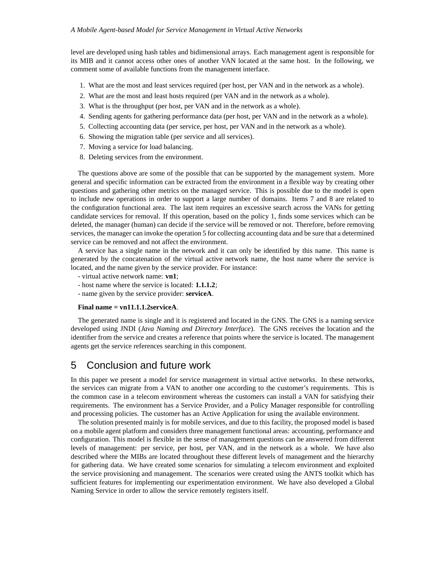level are developed using hash tables and bidimensional arrays. Each management agent is responsible for its MIB and it cannot access other ones of another VAN located at the same host. In the following, we comment some of available functions from the management interface.

- 1. What are the most and least services required (per host, per VAN and in the network as a whole).
- 2. What are the most and least hosts required (per VAN and in the network as a whole).
- 3. What is the throughput (per host, per VAN and in the network as a whole).
- 4. Sending agents for gathering performance data (per host, per VAN and in the network as a whole).
- 5. Collecting accounting data (per service, per host, per VAN and in the network as a whole).
- 6. Showing the migration table (per service and all services).
- 7. Moving a service for load balancing.
- 8. Deleting services from the environment.

The questions above are some of the possible that can be supported by the management system. More general and specific information can be extracted from the environment in a flexible way by creating other questions and gathering other metrics on the managed service. This is possible due to the model is open to include new operations in order to support a large number of domains. Items 7 and 8 are related to the configuration functional area. The last item requires an excessive search across the VANs for getting candidate services for removal. If this operation, based on the policy 1, finds some services which can be deleted, the manager (human) can decide if the service will be removed or not. Therefore, before removing services, the manager can invoke the operation 5 for collecting accounting data and be sure that a determined service can be removed and not affect the environment.

A service has a single name in the network and it can only be identified by this name. This name is generated by the concatenation of the virtual active network name, the host name where the service is located, and the name given by the service provider. For instance:

- virtual active network name: **vn1**;
- host name where the service is located: **1.1.1.2**;
- name given by the service provider: **serviceA**.

#### $Final name = v11.1.1.2$ serviceA.

The generated name is single and it is registered and located in the GNS. The GNS is a naming service developed using JNDI (*Java Naming and Directory Interface*). The GNS receives the location and the identifier from the service and creates a reference that points where the service is located. The management agents get the service references searching in this component.

## 5 Conclusion and future work

In this paper we present a model for service management in virtual active networks. In these networks, the services can migrate from a VAN to another one according to the customer's requirements. This is the common case in a telecom environment whereas the customers can install a VAN for satisfying their requirements. The environment has a Service Provider, and a Policy Manager responsible for controlling and processing policies. The customer has an Active Application for using the available environment.

The solution presented mainly is for mobile services, and due to this facility, the proposed model is based on a mobile agent platform and considers three management functional areas: accounting, performance and configuration. This model is flexible in the sense of management questions can be answered from different levels of management: per service, per host, per VAN, and in the network as a whole. We have also described where the MIBs are located throughout these different levels of management and the hierarchy for gathering data. We have created some scenarios for simulating a telecom environment and exploited the service provisioning and management. The scenarios were created using the ANTS toolkit which has sufficient features for implementing our experimentation environment. We have also developed a Global Naming Service in order to allow the service remotely registers itself.